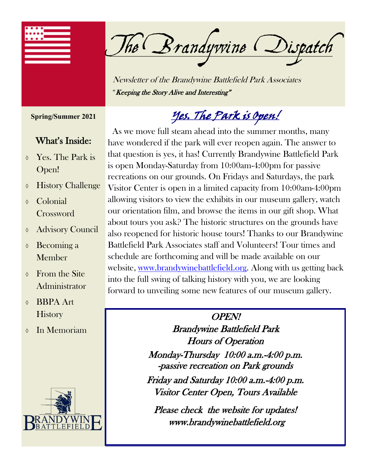

The Brandywine Dispatch

Newsletter of the Brandywine Battlefield Park Associates "Keeping the Story Alive and Interesting"

**Spring/Summer 2021**

#### What's Inside:

- Yes. The Park is Open!
- History Challenge
- Colonial Crossword
- Advisory Council
- Becoming a Member
- From the Site Administrator
- BBPA Art **History**
- In Memoriam



Yes. The Park is Open!

 As we move full steam ahead into the summer months, many have wondered if the park will ever reopen again. The answer to that question is yes, it has! Currently Brandywine Battlefield Park is open Monday-Saturday from 10:00am-4:00pm for passive recreations on our grounds. On Fridays and Saturdays, the park Visitor Center is open in a limited capacity from 10:00am-4:00pm allowing visitors to view the exhibits in our museum gallery, watch our orientation film, and browse the items in our gift shop. What about tours you ask? The historic structures on the grounds have also reopened for historic house tours! Thanks to our Brandywine Battlefield Park Associates staff and Volunteers! Tour times and schedule are forthcoming and will be made available on our website, [www.brandywinebattlefield.org.](http://www.brandywinebattlefield.org) Along with us getting back into the full swing of talking history with you, we are looking forward to unveiling some new features of our museum gallery.

#### OPEN! Brandywine Battlefield Park Hours of Operation

 Monday-Thursday 10:00 a.m.-4:00 p.m. -passive recreation on Park grounds Friday and Saturday 10:00 a.m.-4:00 p.m.

Visitor Center Open, Tours Available

Please check the website for updates! www.brandywinebattlefield.org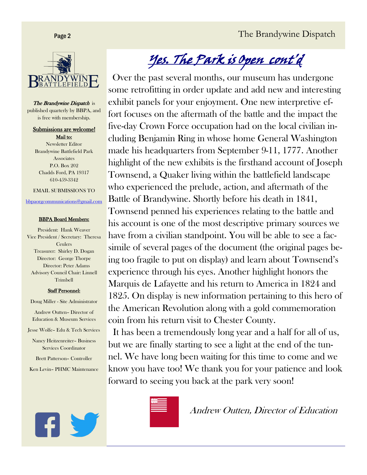

The Brandywine Dispatch is published quarterly by BBPA, and is free with membership.

Submissions are welcome! Mail to: Newsletter Editor Brandywine Battlefield Park Associates P.O. Box 202 Chadds Ford, PA 19317 610-459-3342

EMAIL SUBMISSIONS TO

[bbpaorgcommunications@gmail.com](mailto:bbpaorgcommunications@gmail.com)

#### BBPA Board Members:

President: Hank Weaver Vice President / Secretary: Theresa Ceulers Treasurer: Shirley D. Dogan Director: George Thorpe Director: Peter Adams Advisory Council Chair: Linnell Trimbell

#### Staff Personnel:

Doug Miller - Site Administrator

Andrew Outten– Director of Education & Museum Services

Jesse Wolfe– Edu & Tech Services

Nancy Heitzenreiter– Business Services Coordinator

Brett Patterson– Controller

Ken Levin– PHMC Maintenance



# Yes. The Park is Open cont'd

 Over the past several months, our museum has undergone some retrofitting in order update and add new and interesting exhibit panels for your enjoyment. One new interpretive effort focuses on the aftermath of the battle and the impact the five-day Crown Force occupation had on the local civilian including Benjamin Ring in whose home General Washington made his headquarters from September 9-11, 1777. Another highlight of the new exhibits is the firsthand account of Joseph Townsend, a Quaker living within the battlefield landscape who experienced the prelude, action, and aftermath of the Battle of Brandywine. Shortly before his death in 1841, Townsend penned his experiences relating to the battle and his account is one of the most descriptive primary sources we have from a civilian standpoint. You will be able to see a facsimile of several pages of the document (the original pages being too fragile to put on display) and learn about Townsend's experience through his eyes. Another highlight honors the Marquis de Lafayette and his return to America in 1824 and 1825. On display is new information pertaining to this hero of the American Revolution along with a gold commemoration coin from his return visit to Chester County.

 It has been a tremendously long year and a half for all of us, but we are finally starting to see a light at the end of the tunnel. We have long been waiting for this time to come and we know you have too! We thank you for your patience and look forward to seeing you back at the park very soon!



Andrew Outten, Director of Education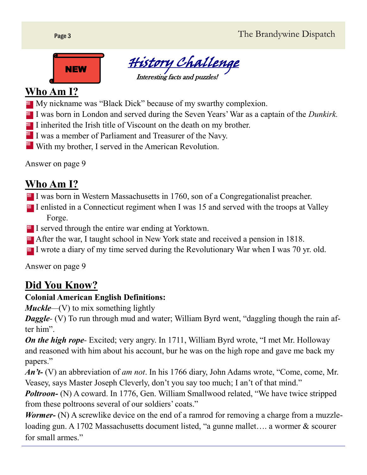Page 3 The Brandywine Dispatch





### **Who Am I?**

- My nickname was "Black Dick" because of my swarthy complexion.
- I was born in London and served during the Seven Years' War as a captain of the *Dunkirk*.
- $\blacksquare$  I inherited the Irish title of Viscount on the death on my brother.
- $\blacksquare$  I was a member of Parliament and Treasurer of the Navy.
- $\blacksquare$  With my brother, I served in the American Revolution.

Answer on page 9

### **Who Am I?**

- I was born in Western Massachusetts in 1760, son of a Congregationalist preacher.
- I enlisted in a Connecticut regiment when I was 15 and served with the troops at Valley Forge.
- $\blacksquare$  I served through the entire war ending at Yorktown.
- After the war, I taught school in New York state and received a pension in 1818.
- I wrote a diary of my time served during the Revolutionary War when I was 70 yr. old.

Answer on page 9

### **Did You Know?**

#### **Colonial American English Definitions:**

*Muckle*—(V) to mix something lightly

*Daggle*- (V) To run through mud and water; William Byrd went, "daggling though the rain after him".

*On the high rope*- Excited; very angry. In 1711, William Byrd wrote, "I met Mr. Holloway and reasoned with him about his account, bur he was on the high rope and gave me back my papers."

*An't-* (V) an abbreviation of *am not*. In his 1766 diary, John Adams wrote, "Come, come, Mr. Veasey, says Master Joseph Cleverly, don't you say too much; I an't of that mind."

*Poltroon*- (N) A coward. In 1776, Gen. William Smallwood related, "We have twice stripped from these poltroons several of our soldiers' coats."

*Wormer*- (N) A screwlike device on the end of a ramrod for removing a charge from a muzzleloading gun. A 1702 Massachusetts document listed, "a gunne mallet…. a wormer & scourer for small armes."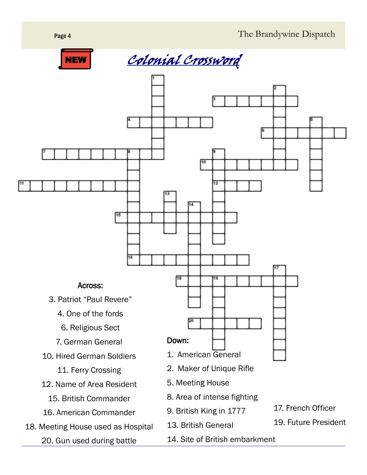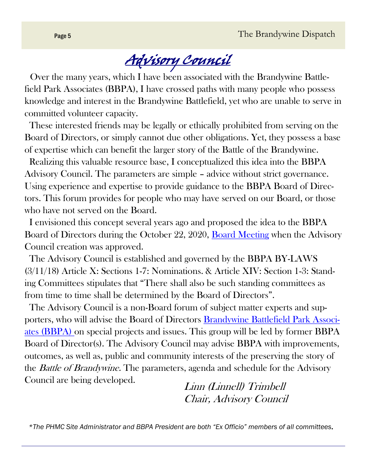# Advisory Council

 Over the many years, which I have been associated with the Brandywine Battlefield Park Associates (BBPA), I have crossed paths with many people who possess knowledge and interest in the Brandywine Battlefield, yet who are unable to serve in committed volunteer capacity.

 These interested friends may be legally or ethically prohibited from serving on the Board of Directors, or simply cannot due other obligations. Yet, they possess a base of expertise which can benefit the larger story of the Battle of the Brandywine.

 Realizing this valuable resource base, I conceptualized this idea into the BBPA Advisory Council. The parameters are simple – advice without strict governance. Using experience and expertise to provide guidance to the BBPA Board of Directors. This forum provides for people who may have served on our Board, or those who have not served on the Board.

 I envisioned this concept several years ago and proposed the idea to the BBPA Board of Directors during the October 22, 2020, Board Meeting when the Advisory Council creation was approved.

 The Advisory Council is established and governed by the BBPA BY-LAWS (3/11/18) Article X: Sections 1-7: Nominations. & Article XIV: Section 1-3: Standing Committees stipulates that "There shall also be such standing committees as from time to time shall be determined by the Board of Directors".

 The Advisory Council is a non-Board forum of subject matter experts and supporters, who will advise the Board of Directors Brandywine Battlefield Park Associates (BBPA) on special projects and issues. This group will be led by former BBPA Board of Director(s). The Advisory Council may advise BBPA with improvements, outcomes, as well as, public and community interests of the preserving the story of the *Battle of Brandywine*. The parameters, agenda and schedule for the Advisory Council are being developed.

Linn (Linnell) Trimbell Chair, Advisory Council

*\*The PHMC Site Administrator and BBPA President are both "Ex Officio" members of all committees.*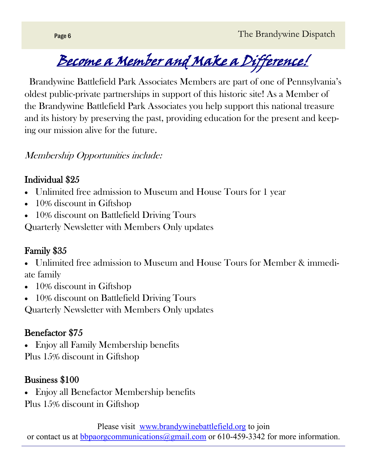Become a Member and Make a Difference!

 Brandywine Battlefield Park Associates Members are part of one of Pennsylvania's oldest public-private partnerships in support of this historic site! As a Member of the Brandywine Battlefield Park Associates you help support this national treasure and its history by preserving the past, providing education for the present and keeping our mission alive for the future.

#### Membership Opportunities include:

#### Individual \$25

- Unlimited free admission to Museum and House Tours for 1 year
- 10% discount in Giftshop
- 10% discount on Battlefield Driving Tours

Quarterly Newsletter with Members Only updates

### Family \$35

- Unlimited free admission to Museum and House Tours for Member & immediate family
- 10% discount in Giftshop
- 10% discount on Battlefield Driving Tours

Quarterly Newsletter with Members Only updates

### Benefactor \$75

• Enjoy all Family Membership benefits Plus 15% discount in Giftshop

### Business \$100

- Enjoy all Benefactor Membership benefits
- Plus 15% discount in Giftshop

Please visit [www.brandywinebattlefield.org](http://www.brandywinebattlefield.org) to join or contact us at [bbpaorgcommunications@gmail.com](mailto:bbpaorgcommunications@gmail.com) or 610-459-3342 for more information.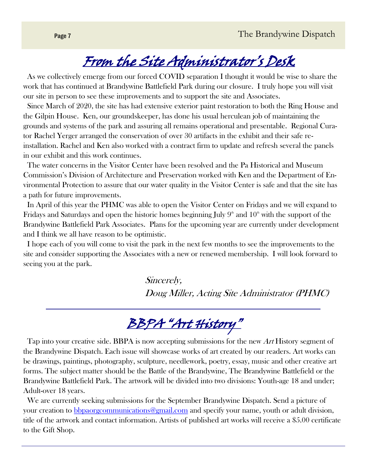# From the Site Administrator's Desk

 As we collectively emerge from our forced COVID separation I thought it would be wise to share the work that has continued at Brandywine Battlefield Park during our closure. I truly hope you will visit our site in person to see these improvements and to support the site and Associates.

 Since March of 2020, the site has had extensive exterior paint restoration to both the Ring House and the Gilpin House. Ken, our groundskeeper, has done his usual herculean job of maintaining the grounds and systems of the park and assuring all remains operational and presentable. Regional Curator Rachel Yerger arranged the conservation of over 30 artifacts in the exhibit and their safe reinstallation. Rachel and Ken also worked with a contract firm to update and refresh several the panels in our exhibit and this work continues.

 The water concerns in the Visitor Center have been resolved and the Pa Historical and Museum Commission's Division of Architecture and Preservation worked with Ken and the Department of Environmental Protection to assure that our water quality in the Visitor Center is safe and that the site has a path for future improvements.

 In April of this year the PHMC was able to open the Visitor Center on Fridays and we will expand to Fridays and Saturdays and open the historic homes beginning July  $9<sup>th</sup>$  and  $10<sup>th</sup>$  with the support of the Brandywine Battlefield Park Associates. Plans for the upcoming year are currently under development and I think we all have reason to be optimistic.

 I hope each of you will come to visit the park in the next few months to see the improvements to the site and consider supporting the Associates with a new or renewed membership. I will look forward to seeing you at the park.

> Sincerely, Doug Miller, Acting Site Administrator (PHMC)

## BBPA "Art History"

Tap into your creative side. BBPA is now accepting submissions for the new Art History segment of the Brandywine Dispatch. Each issue will showcase works of art created by our readers. Art works can be drawings, paintings, photography, sculpture, needlework, poetry, essay, music and other creative art forms. The subject matter should be the Battle of the Brandywine, The Brandywine Battlefield or the Brandywine Battlefield Park. The artwork will be divided into two divisions: Youth-age 18 and under; Adult-over 18 years.

 We are currently seeking submissions for the September Brandywine Dispatch. Send a picture of your creation to [bbpaorgcommunications@gmail.com](mailto:bbpaorgcommunications@gmail.com) and specify your name, youth or adult division, title of the artwork and contact information. Artists of published art works will receive a \$5.00 certificate to the Gift Shop.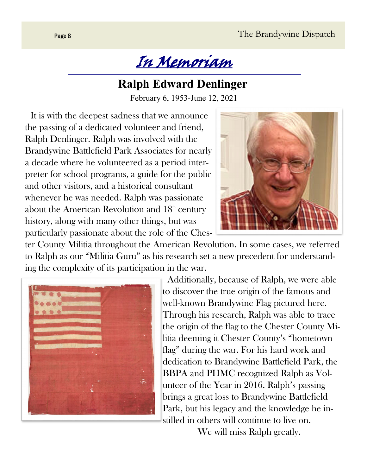

### **Ralph Edward Denlinger**

February 6, 1953-June 12, 2021

 It is with the deepest sadness that we announce the passing of a dedicated volunteer and friend, Ralph Denlinger. Ralph was involved with the Brandywine Battlefield Park Associates for nearly a decade where he volunteered as a period interpreter for school programs, a guide for the public and other visitors, and a historical consultant whenever he was needed. Ralph was passionate about the American Revolution and  $18<sup>th</sup>$  century history, along with many other things, but was particularly passionate about the role of the Ches-



ter County Militia throughout the American Revolution. In some cases, we referred to Ralph as our "Militia Guru" as his research set a new precedent for understanding the complexity of its participation in the war.



 Additionally, because of Ralph, we were able to discover the true origin of the famous and well-known Brandywine Flag pictured here. Through his research, Ralph was able to trace the origin of the flag to the Chester County Militia deeming it Chester County's "hometown flag" during the war. For his hard work and dedication to Brandywine Battlefield Park, the BBPA and PHMC recognized Ralph as Volunteer of the Year in 2016. Ralph's passing brings a great loss to Brandywine Battlefield Park, but his legacy and the knowledge he instilled in others will continue to live on.

We will miss Ralph greatly.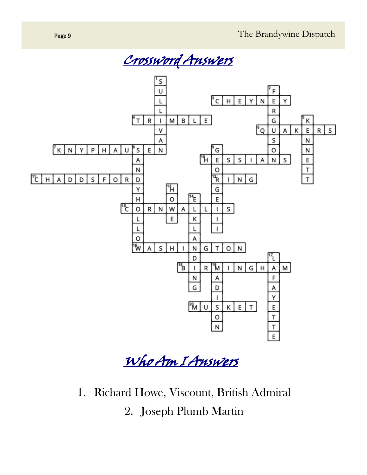



Who Am I Answers

1. Richard Howe, Viscount, British Admiral 2. Joseph Plumb Martin